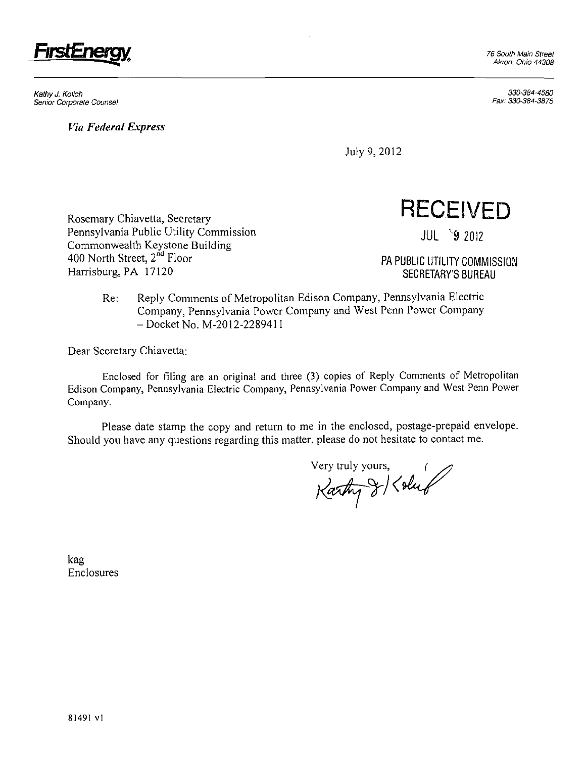

KathyJ. Kolich 330-384-4580 Senior Corporate Counsel

*Via Federal Express* 

330-384-3875

July 9,2012

Rosemary Chiavetta, Secretary **RECEIVED** Pennsylvania Public Utility Commission JUL 9 2012 Commonwealth Keystone Building 400 North Street, 2<sup>nd</sup> Floor<br>Harrisburg, PA 17120

PA PUBLIC UTILITY COMMISSION SECRETARY'S BUREAU

Re: Reply Comments of Metropolitan Edison Company, Pennsylvania Electric Company, Pennsylvania Power Company and West Penn Power Company - Docket No. M-2012-2289411

Dear Secretary Chiavetta:

Enclosed for filing are an original and three (3) copies of Reply Comments of Metropolitan Edison Company, Pennsylvania Electric Company, Pennsylvania Power Company and West Penn Power Company.

Please date stamp the copy and return to me in the enclosed, postage-prepaid envelope. Should you have any questions regarding this matter, please do not hesitate to contact me.

Very truly yours, ;

kag Enclosures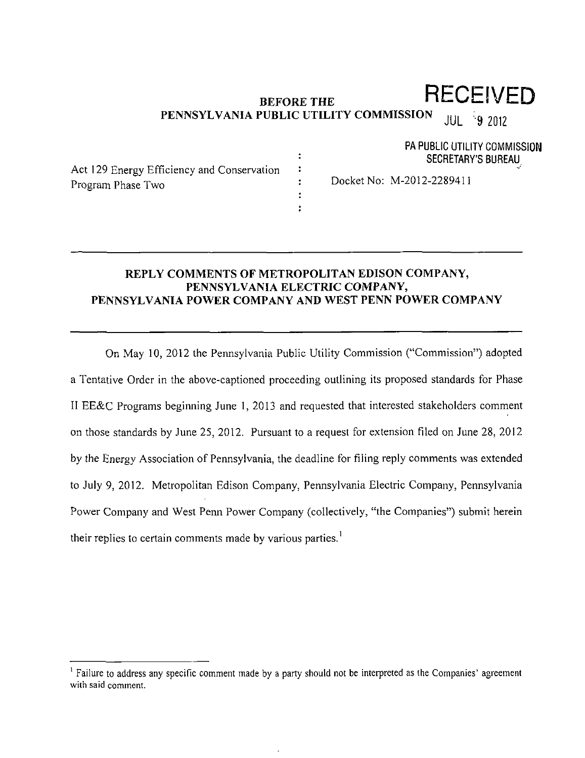# **RECEIVED**

PA PUBLIC UTILITY COMMISSION SECRETARY'S BUREAU

#### **BEFORE THE PENNSYLVANIA PUBLIC UTILITY COMMISSION**  JUL 9 2012

 $\ddot{\phantom{a}}$  $\ddot{\cdot}$ 

> $\ddot{\phantom{a}}$  $\ddot{\phantom{a}}$  $\ddot{\cdot}$

Act 129 Energy Efficiency and Conservation Program Phase Two

Docket No: M-2012-2289411

# **REPLY COMMENTS OF METROPOLITAN EDISON COMPANY, PENNSYLVANIA ELECTRIC COMPANY, PENNSYLVANIA POWER COMPANY AND WEST PENN POWER COMPANY**

On May 10, 2012 the Pennsylvania Public Utility Commission ("Commission") adopted a Tentative Order in the above-captioned proceeding outlining its proposed standards for Phase II EE&C Programs beginning June 1, 2013 and requested that interested stakeholders comment on those standards by June 25, 2012. Pursuant to a request for extension filed on June 28, 2012 by the Energy Association of Pennsylvania, the deadline for filing reply comments was extended to July 9, 2012. Metropolitan Edison Company. Pennsylvania Electric Company, Pennsylvania Power Company and West Penn Power Company (collectively, "the Companies") submit herein their replies to certain comments made by various parties.<sup>1</sup>

<sup>&</sup>lt;sup>1</sup> Failure to address any specific comment made by a party should not be interpreted as the Companies' agreement with said comment.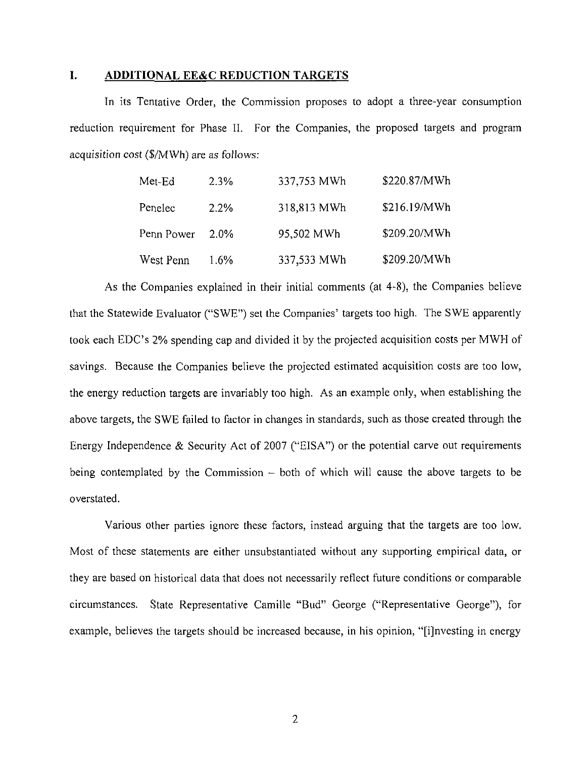## **I. ADDITIONAL EE&C REDUCTION TARGETS**

In its Tentative Order, the Commission proposes to adopt a three-year consumption reduction requirement for Phase II. For the Companies, the proposed targets and program acquisition cost (\$/MWh) are as follows:

| Met-Ed     | 2.3%    | 337,753 MWh | \$220.87/MWh |
|------------|---------|-------------|--------------|
| Penelec    | 2.2%    | 318,813 MWh | \$216.19/MWh |
| Penn Power | $2.0\%$ | 95,502 MWh  | \$209.20/MWh |
| West Penn  | $1.6\%$ | 337,533 MWh | \$209.20/MWh |

As the Companies explained in their initial comments (at 4-8), the Companies believe that the Statewide Evaluator ("SWE") set the Companies' targets too high. The SWE apparently took each EDC's 2% spending cap and divided it by the projected acquisition costs per MWH of savings. Because the Companies believe the projected estimated acquisition costs are too low, the energy reduction targets are invariably too high. As an example only, when establishing the above targets, the SWE failed to factor in changes in standards, such as those created through the Energy Independence & Security Act of 2007 ("EISA") or the potential carve out requirements being contemplated by the Commission  $-$  both of which will cause the above targets to be overstated.

Various other parties ignore these factors, instead arguing that the targets are too low. Most of these statements are either unsubstantiated without any supporting empirical data, or they are based on historical data that does not necessarily reflect future conditions or comparable circumstances. State Representative Camille "Bud" George ("Representative George"), for example, believes the targets should be increased because, in his opinion, "[i]nvesting in energy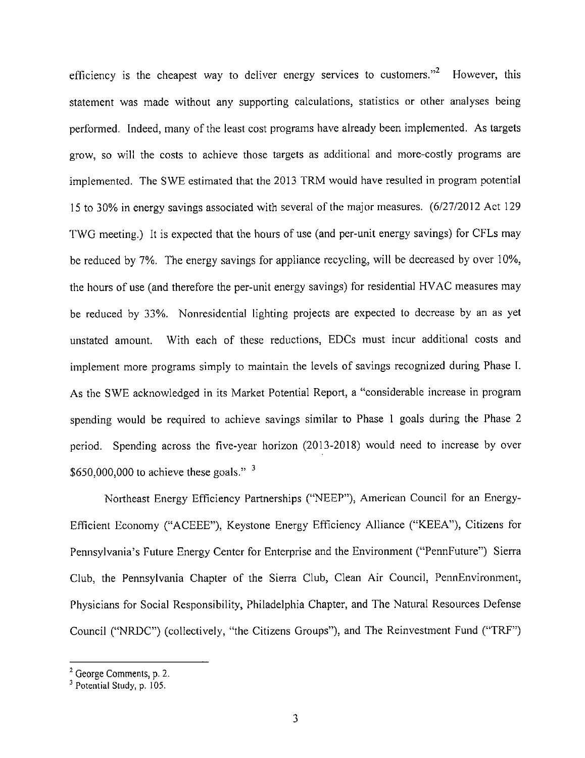efficiency is the cheapest way to deliver energy services to customers." However, this statement was made without any supporting calculations, statistics or other analyses being performed. Indeed, many of the least cost programs have already been implemented. As targets grow, so will the costs to achieve those targets as additional and more-costly programs are implemented. The SWE estimated that the 2013 TRM would have resulted in program potential 15 to 30% in energy savings associated with several of the major measures. (6/27/2012 Act 129 TWG meeting.) It is expected that the hours of use (and per-unit energy savings) for CFLs may be reduced by 7%. The energy savings for appliance recycling, will be decreased by over 10%, the hours of use (and therefore the per-unit energy savings) for residential HVAC measures may be reduced by 33%. Nonresidential lighting projects are expected to decrease by an as yet unstated amount. With each of these reductions, EDCs must incur additional costs and implement more programs simply to maintain the levels of savings recognized during Phase I. As the SWE acknowledged in its Market Potential Report, a "considerable increase in program spending would be required to achieve savings similar to Phase 1 goals during the Phase 2 period. Spending across the five-year horizon (2013-2018) would need to increase by over \$650,000,000 to achieve these goals."

Northeast Energy Efficiency Partnerships ("NEEP"), American Council for an Energy-Efficient Economy ("ACEEE"), Keystone Energy Efficiency Alliance ("KEEA"), Citizens for Pennsylvania's Future Energy Center for Enterprise and the Environment ("PennFuture") Sierra Club, the Pennsylvania Chapter of the Sierra Club, Clean Air Council, PennEnvironment, Physicians for Social Responsibility, Philadelphia Chapter, and The Natural Resources Defense Council ("NRDC") (collectively, "the Citizens Groups"), and The Reinvestment Fund ("TRF")

<sup>&</sup>lt;sup>2</sup> George Comments, p. 2.

<sup>&</sup>lt;sup>3</sup> Potential Study, p. 105.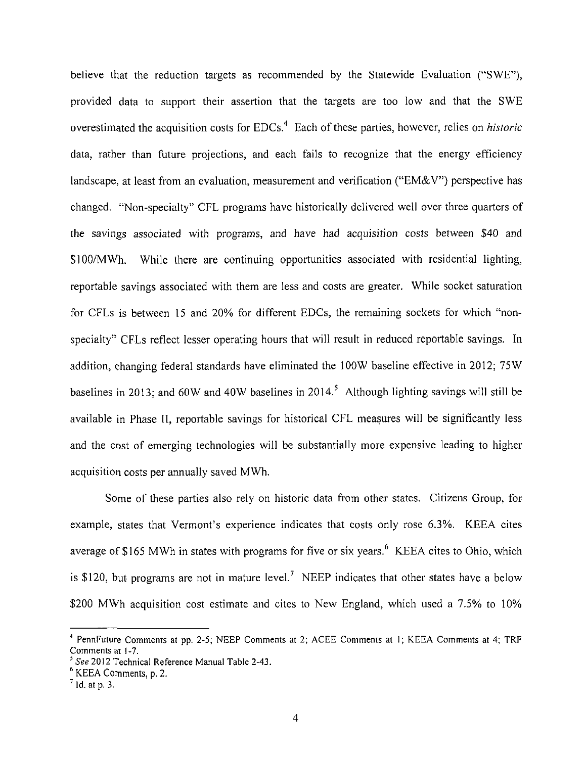believe that the reduction targets as recommended by the Statewide Evaluation ("SWE"), provided data to support their assertion that the targets are too low and that the SWE overestimated the acquisition costs for  $EDCs<sup>4</sup>$ . Each of these parties, however, relies on *historic* data, rather than future projections, and each fails to recognize that the energy efficiency landscape, at least from an evaluation, measurement and verification ("EM&V") perspective has changed. "Non-specialty" CFL programs have historically delivered well over three quarters of the savings associated with programs, and have had acquisition costs between \$40 and \$100/MWh. While there are continuing opportunities associated with residential lighting, reportable savings associated with them are less and costs are greater. While socket saturation for CFLs is between 15 and 20% for different EDCs, the remaining sockets for which "nonspecialty" CFLs reflect lesser operating hours that will result in reduced reportable savings. In addition, changing federal standards have eliminated the 100W baseline effective in 2012; 75W baselines in 2013; and 60W and 40W baselines in 2014.<sup>5</sup> Although lighting savings will still be available in Phase II, reportable savings for historical CFL measures will be significantly less and the cost of emerging technologies will be substantially more expensive leading to higher acquisition costs per annually saved MWh.

Some of these parties also rely on historic data from other states. Citizens Group, for example, states that Vermont's experience indicates that costs only rose 6.3%. KEEA cites average of \$165 MWh in states with programs for five or six years.  $6$  KEEA cites to Ohio, which is \$120, but programs are not in mature level.<sup>7</sup> NEEP indicates that other states have a below \$200 MWh acquisition cost estimate and cites to New England, which used a 7.5% to 10%

<sup>4</sup> PennFuture Comments at pp. 2-5; NEEP Comments at 2; ACEE Comments at 1; KEEA Comments at 4; TRF Comments at 1-7.

See 2012 Technical Reference Manual Table 2-43.

<sup>6</sup> KEEA Comments, p. 2.

 $<sup>7</sup>$  ld. at p. 3.</sup>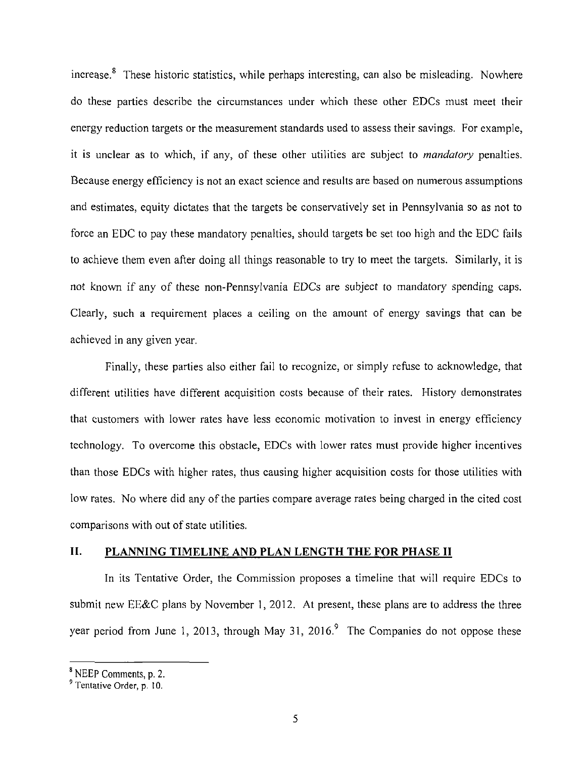increase.<sup>8</sup> These historic statistics, while perhaps interesting, can also be misleading. Nowhere do these parties describe the circumstances under which these other EDCs must meet their energy reduction targets or the measurement standards used to assess their savings. For example, it is unclear as to which, if any, of these other utilities are subject to *mandatory* penalties. Because energy efficiency is not an exact science and results are based on numerous assumptions and estimates, equity dictates that the targets be conservatively set in Pennsylvania so as not to force an EDC to pay these mandatory penalties, should targets be set too high and the EDC fails to achieve them even after doing all things reasonable to try to meet the targets. Similarly, it is not known if any of these non-Pennsylvania EDCs are subject to mandatory spending caps. Clearly, such a requirement places a ceiling on the amount of energy savings that can be achieved in any given year.

Finally, these parties also either fail to recognize, or simply refuse to acknowledge, that different utilities have different acquisition costs because of their rates. History demonstrates that customers with lower rates have less economic motivation to invest in energy efficiency technology. To overcome this obstacle, EDCs with lower rates must provide higher incentives than those EDCs with higher rates, thus causing higher acquisition costs for those utilities with low rates. No where did any of the parties compare average rates being charged in the cited cost comparisons with out of state utilities.

# **II. PLANNING TIMELINE AND PLAN LENGTH THE FOR PHASE II**

In its Tentative Order, the Commission proposes a timeline that will require EDCs to submit new EE&C plans by November 1, 2012. At present, these plans are to address the three year period from June 1, 2013, through May 31, 2016.<sup>9</sup> The Companies do not oppose these

NEEP Comments, p. 2.

Tentative Order, p. 10.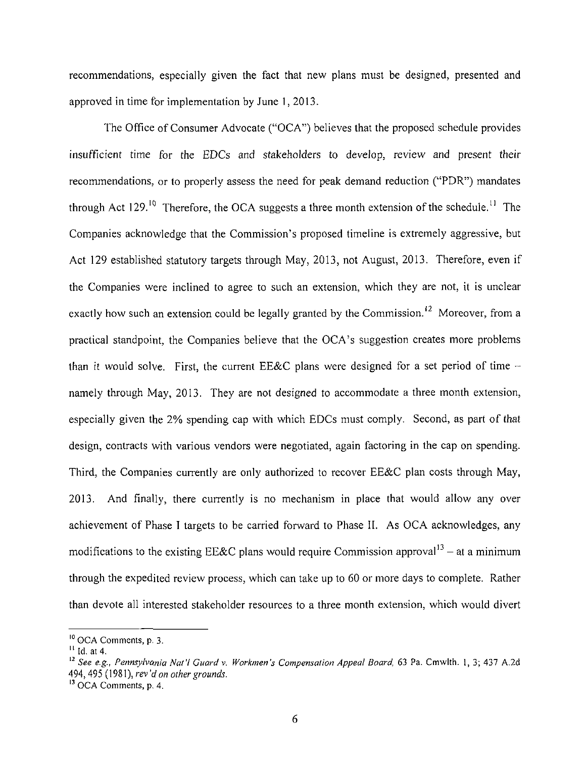recommendations, especially given the fact that new plans must be designed, presented and approved in time for implementation by June 1, 2013.

The Office of Consumer Advocate ("OCA") believes that the proposed schedule provides insufficient time for the EDCs and stakeholders to develop, review and present their recommendations, or to properly assess the need for peak demand reduction ("PDR") mandates through Act  $129$ .<sup>10</sup> Therefore, the OCA suggests a three month extension of the schedule.<sup>11</sup> The Companies acknowledge that the Commission's proposed timeline is extremely aggressive, but Act 129 established statutory targets through May, 2013, not August, 2013. Therefore, even if the Companies were inclined to agree to such an extension, which they are not, it is unclear exactly how such an extension could be legally granted by the Commission.<sup>12</sup> Moreover, from a practical standpoint, the Companies believe that the OCA's suggestion creates more problems than it would solve. First, the current EE&C plans were designed for a set period of time  $$ namely through May, 2013. They are not designed to accommodate a three month extension, especially given the 2% spending cap with which EDCs must comply. Second, as part of that design, contracts with various vendors were negotiated, again factoring in the cap on spending. Third, the Companies currently are only authorized to recover EE&C plan costs through May, 2013. And finally, there currently is no mechanism in place that would allow any over achievement of Phase I targets to be carried forward to Phase II. As OCA acknowledges, any modifications to the existing EE&C plans would require Commission approval<sup>13</sup> – at a minimum through the expedited review process, which can take up to 60 or more days to complete. Rather than devote all interested stakeholder resources to a three month extension, which would divert

<sup>&</sup>lt;sup>10</sup> OCA Comments, p. 3.

 $<sup>11</sup>$  Id. at 4.</sup>

*<sup>12</sup> See e.g., Pennsylvania Nal'l Guard v. Workmen's Compensation Appeal Board, 63 Pa. Cmwlth. 1, 3; 437 A.2d 494,495 (1981), rev'd on other grounds.* 

<sup>&</sup>lt;sup>13</sup> OCA Comments, p. 4.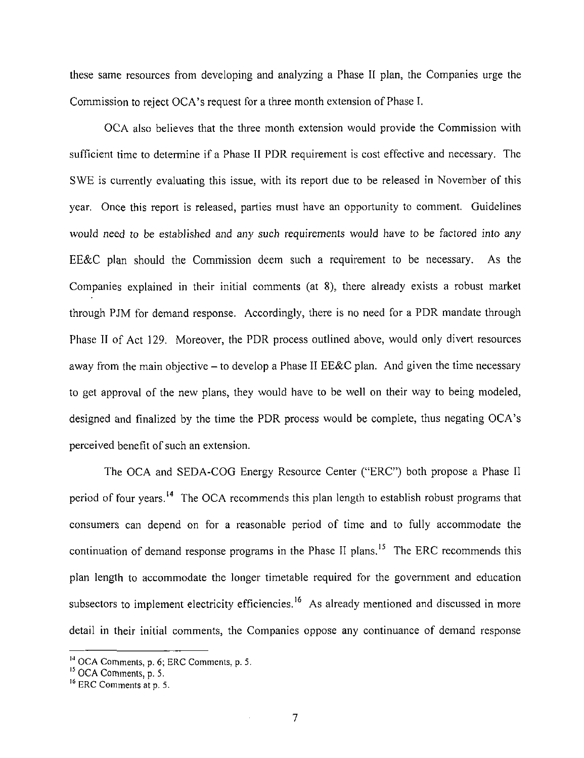these same resources from developing and analyzing a Phase II plan, the Companies urge the Commission to reject OCA's request for a three month extension of Phase I.

OCA also believes that the three month extension would provide the Commission with sufficient time to determine if a Phase II PDR requirement is cost effective and necessary. The SWE is currently evaluating this issue, with its report due to be released in November of this year. Once this report is released, parties must have an opportunity to comment. Guidelines would need to be established and any such requirements would have to be factored into any EE&C plan should the Commission deem such a requirement to be necessary. As the Companies explained in their initial comments (at 8), there already exists a robust market through PJM for demand response. Accordingly, there is no need for a PDR mandate through Phase II of Act 129. Moreover, the PDR process outlined above, would only divert resources away from the main objective – to develop a Phase II EE&C plan. And given the time necessary to get approval of the new plans, they would have to be well on their way to being modeled, designed and finalized by the time the PDR process would be complete, thus negating OCA's perceived benefit of such an extension.

The OCA and SEDA-COG Energy Resource Center ("ERC") both propose a Phase II period of four years.<sup>14</sup> The OCA recommends this plan length to establish robust programs that consumers can depend on for a reasonable period of time and to fully accommodate the continuation of demand response programs in the Phase II plans.<sup>15</sup> The ERC recommends this plan length to accommodate the longer timetable required for the government and education subsectors to implement electricity efficiencies.<sup>16</sup> As already mentioned and discussed in more detail in their initial comments, the Companies oppose any continuance of demand response

 $\frac{14}{10}$  OCA Comments, p. 6; ERC Comments, p. 5.

 $\frac{15}{12}$  OCA Comments, p. 5.

<sup>&</sup>lt;sup>16</sup> ERC Comments at p. 5.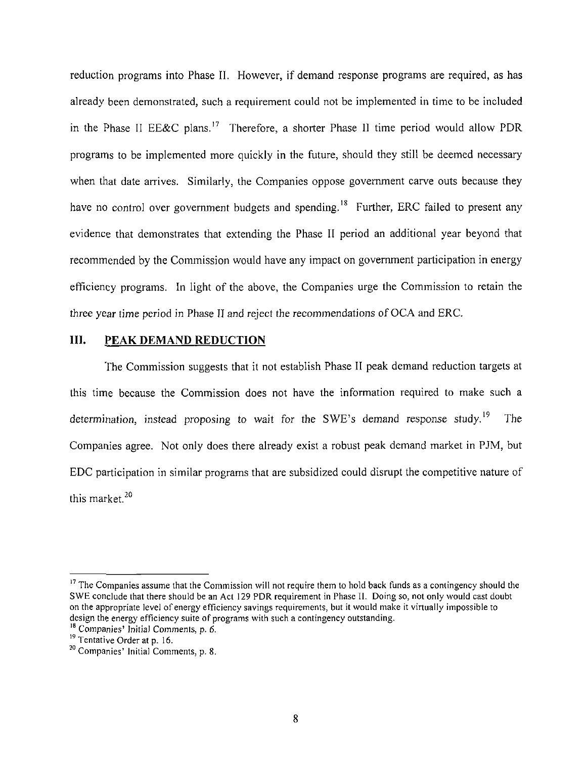**reduction programs into Phase II. However, if demand response programs are required, as has already been demonstrated, such a requirement could not be implemented in time to be included in the Phase II EE&C plans.<sup>17</sup> Therefore, a shorter Phase II time period would allow PDR programs to be implemented more quickly in the future, should they still be deemed necessary when that date arrives. Similarly, the Companies oppose government carve outs because they**  have no control over government budgets and spending.<sup>18</sup> Further, ERC failed to present any **evidence that demonstrates that extending the Phase II period an additional year beyond that recommended by the Commission would have any impact on government participation in energy efficiency programs. In light of the above, the Companies urge the Commission to retain the three year time period in Phase II and reject the recommendations of OCA and ERC.** 

## **III.** PEAK DEMAND REDUCTION

The Commission suggests that it not establish Phase II peak demand reduction targets at this time because the Commission does not have the information required to make such a determination, instead proposing to wait for the SWE's demand response study.<sup>19</sup> The Companies agree. Not only does there already exist a robust peak demand market in PJM, but EDC participation in similar programs that are subsidized could disrupt the competitive nature of this market.<sup>20</sup>

<sup>&</sup>lt;sup>17</sup> The Companies assume that the Commission will not require them to hold back funds as a contingency should the SWE conclude that there should be an Act 129 PDR requirement in Phase II. Doing so, not only would cast doubt on the appropriate level of energy efficiency savings requirements, but it would make it virtually impossible to design the energy efficiency suite of programs with such a contingency outstanding.

 $\frac{18}{18}$  Companies' Initial Comments, p. 6.

 $\frac{19}{12}$  Tentative Order at p. 16.

<sup>&</sup>lt;sup>20</sup> Companies' Initial Comments, p. 8.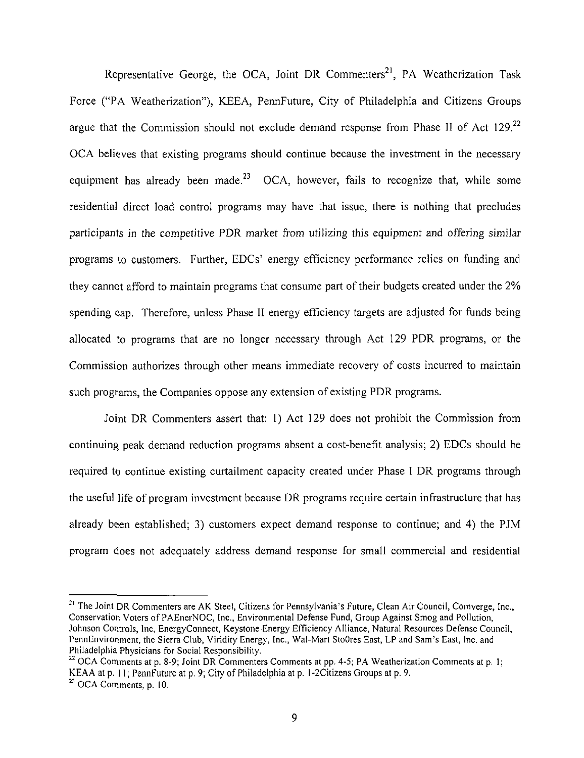Representative George, the OCA, Joint DR Commenters<sup>21</sup>, PA Weatherization Task Force ("PA Weatherization"), KEEA, PennFuture, City of Philadelphia and Citizens Groups argue that the Commission should not exclude demand response from Phase II of Act 129.<sup>22</sup> OCA believes that existing programs should continue because the investment in the necessary equipment has already been made.<sup>23</sup> OCA, however, fails to recognize that, while some spending cap. Therefore, unless Phase II energy efficiency targets are adjusted for funds being allocated to programs that are no longer necessary through Act 129 PDR programs, or the Commission authorizes through other means immediate recovery of costs incurred to maintain such programs, the Companies oppose any extension of existing PDR programs.

Joint DR Commenters assert that: 1) Act 129 does not prohibit the Commission from continuing peak demand reduction programs absent a cost-benefit analysis; 2) EDCs should be continuing peak demand reduction peak demand reduction programs absent and peak demand benefit analysis; 2) EDCs required to continue existing curtailment capacity created under Phase I DR programs through the useful life of program investment because DR programs require certain infrastructure that has the useful life of program investment because DR programs require certain infrastructure that has already been established; 3) customers expect demand response to continue; and 4) the PJM already been established; 3) customers expect demand response to continue; and 4) the PJM program does not adequately address demand response for small commercial and residential program does not adequately address demand response for small commercial and residential

<sup>&</sup>lt;sup>21</sup> The Joint DR Commenters are AK Steel, Citizens for Pennsylvania's Future, Clean Air Council, Comverge, Inc., Conservation Voters of PAEnerNOC, Inc., Environmental Defense Fund, Group Against Smog and Pollution, Johnson Controls, Inc, EnergyConnect, Keystone Energy Efficiency Alliance, Natural Resources Defense Council, PennEnvironment, the Sierra Club, Viridity Energy, Inc., Wal-Mart StoOres East, LP and Sam's East, Inc. and Philadelphia Physicians for Social Responsibility.

 $22$  OCA Comments at p. 8-9; Joint DR Commenters Comments at pp. 4-5; PA Weatherization Comments at p. 1; KEAA at p. 11; PennFuture at p. 9; City of Philadelphia at p. 1 -2Citizens Groups at p. 9.  $23$  OCA Comments, p. 10.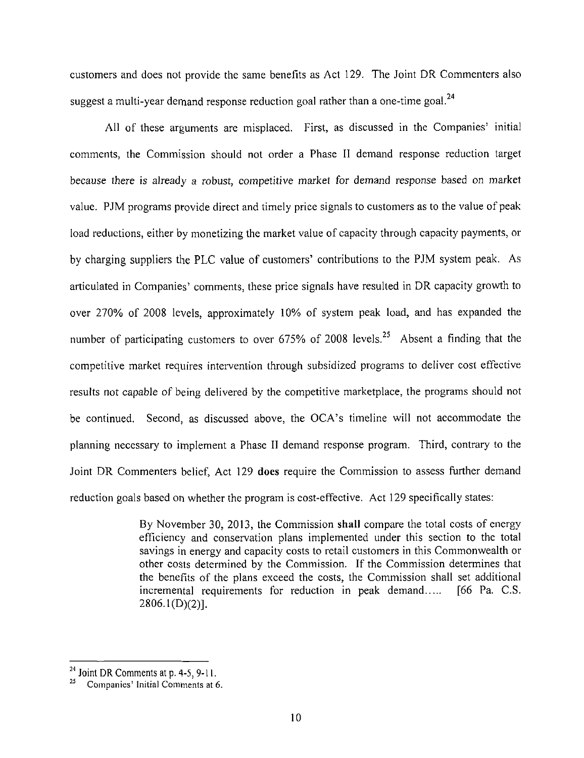customers and does not provide the same benefits as Act 129. The Joint DR Commenters also suggest a multi-year demand response reduction goal rather than a one-time goal.<sup>24</sup>

All of these arguments are misplaced. First, as discussed in the Companies' initial comments, the Commission should not order a Phase II demand response reduction target because there is already a robust, competitive market for demand response based on market value. PJM programs provide direct and timely price signals to customers as to the value of peak load reductions, either by monetizing the market value of capacity through capacity payments, or by charging suppliers the PLC value of customers' contributions to the PJM system peak. As articulated in Companies' comments, these price signals have resulted in DR capacity growth to over 270% of 2008 levels, approximately 10% of system peak load, and has expanded the number of participating customers to over 675% of 2008 levels.<sup>25</sup> Absent a finding that the competitive market requires intervention through subsidized programs to deliver cost effective results not capable of being delivered by the competitive marketplace, the programs should not be continued. Second, as discussed above, the OCA's timeline will not accommodate the planning necessary to implement a Phase II demand response program. Third, contrary to the Joint DR Commenters belief, Act 129 does require the Commission to assess further demand reduction goals based on whether the program is cost-effective. Act 129 specifically states:

> By November 30, 2013, the Commission shall compare the total costs of energy efficiency and conservation plans implemented under this section to the total savings in energy and capacity costs to retail customers in this Commonwealth or other costs determined by the Commission. If the Commission determines that the benefits of the plans exceed the costs, the Commission shall set additional incremental requirements for reduction in peak demand..... [66 Pa. C.S. 2806.1(D)(2)].

**<sup>24</sup>**Joint DR Comments at p. 4-5, 9-11.

<sup>25</sup> Companies' Initial Comments at 6.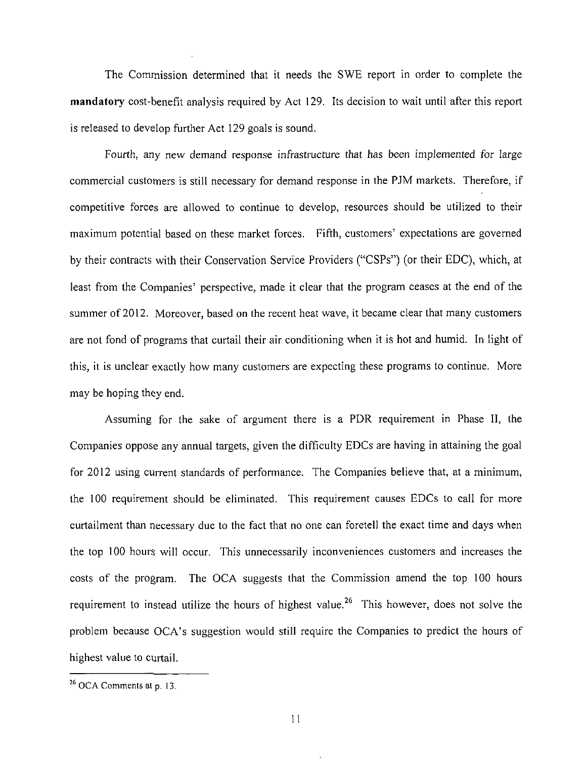The Commission determined that it needs the SWE report in order to complete the mandatory cost-benefit analysis required by Act 129. Its decision to wait until after this report is released to develop further Act 129 goals is sound.

Fourth, any new demand response infrastructure that has been implemented for large commercial customers is still necessary for demand response in the PJM markets. Therefore, if competitive forces are allowed to continue to develop, resources should be utilized to their maximum potential based on these market forces. Fifth, customers' expectations are governed by their contracts with their Conservation Service Providers ("CSPs") (or their EDC), which, at least from the Companies' perspective, made it clear that the program ceases at the end of the summer of 2012. Moreover, based on the recent heat wave, it became clear that many customers are not fond of programs that curtail their air conditioning when it is hot and humid. In light of this, it is unclear exactly how many customers are expecting these programs to continue. More may be hoping they end.

Assuming for the sake of argument there is a PDR requirement in Phase II, the Companies oppose any annual targets, given the difficulty EDCs are having in attaining the goal for 2012 using current standards of performance. The Companies believe that, at a minimum, the 100 requirement should be eliminated. This requirement causes EDCs to call for more curtailment than necessary due to the fact that no one can foretell the exact time and days when the top 100 hours will occur. This unnecessarily inconveniences customers and increases the costs of the program. The OCA suggests that the Commission amend the top 100 hours requirement to instead utilize the hours of highest value.<sup>26</sup> This however, does not solve the problem because OCA's suggestion would still require the Companies to predict the hours of highest value to curtail.

<sup>&</sup>lt;sup>26</sup> OCA Comments at p. 13.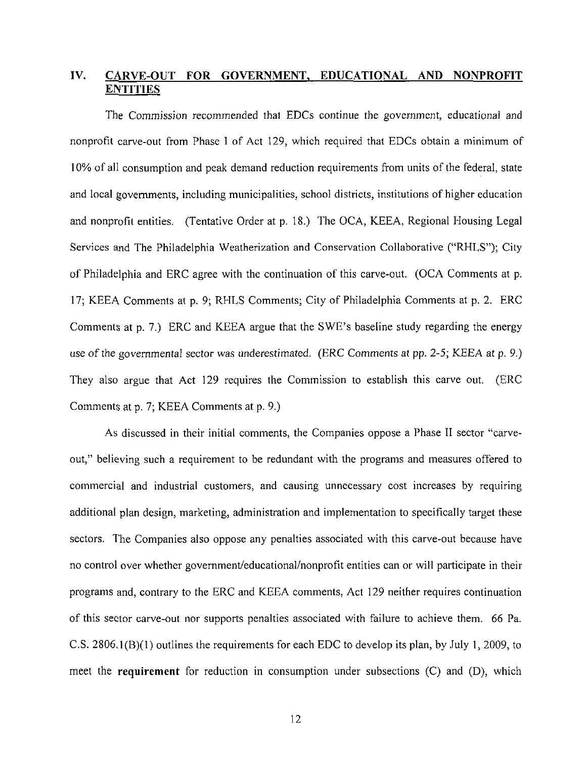# **IV. CARVE-OUT FOR GOVERNMENT, EDUCATIONAL AND NONPROFIT ENTITIES**

The Commission recommended that EDCs continue the government, educational and nonprofit carve-out from Phase I of Act 129, which required that EDCs obtain a minimum of 10% of all consumption and peak demand reduction requirements from units of the federal, state and local governments, including municipalities, school districts, institutions of higher education and nonprofit entities. (Tentative Order at p. 18.) The OCA, KEEA, Regional Housing Legal Services and The Philadelphia Weatherization and Conservation Collaborative ("RHLS"); City of Philadelphia and ERC agree with the continuation of this carve-out. (OCA Comments at p. 17; KEEA Comments at p. 9; RHLS Comments; City of Philadelphia Comments at p. 2. ERC Comments at p. 7.) ERC and KEEA argue that the SWE's baseline study regarding the energy use of the governmental sector was underestimated. (ERC Comments at pp. 2-5; KEEA at p. 9.) They also argue that Act 129 requires the Commission to establish this carve out. (ERC Comments at p. 7; KEEA Comments at p. 9.)

As discussed in their initial comments, the Companies oppose a Phase II sector "carveout," believing such a requirement to be redundant with the programs and measures offered to commercial and industrial customers, and causing unnecessary cost increases by requiring additional plan design, marketing, administration and implementation to specifically target these sectors. The Companies also oppose any penalties associated with this carve-out because have no control over whether govemment/educational/nonprofit entities can or will participate in their programs and, contrary to the ERC and KEEA comments, Act 129 neither requires continuation of this sector carve-out nor supports penalties associated with failure to achieve them. 66 Pa. C.S. 2806,1(B)(1) outlines the requirements for each EDC to develop its plan, by July 1, 2009, to meet the requirement for reduction in consumption under subsections (C) and (D), which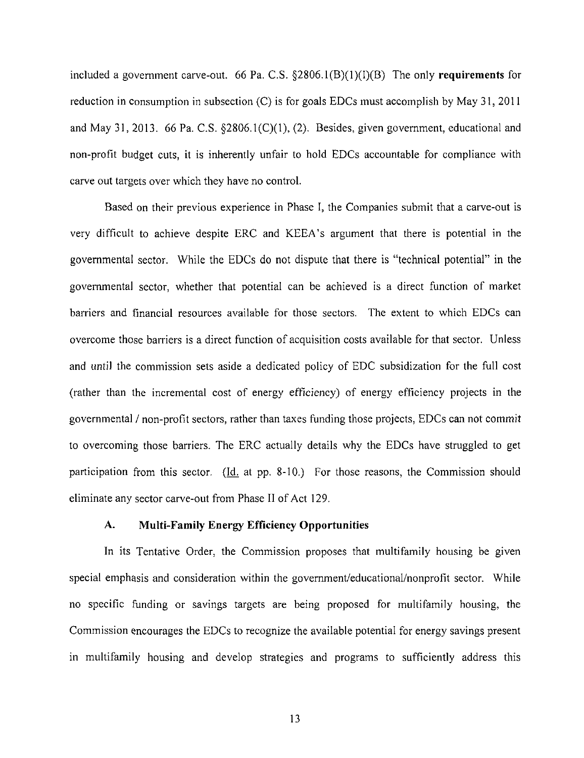included a government carve-out. 66 Pa. C.S.  $\S 2806.1(B)(1)(I)(B)$  The only requirements for reduction in consumption in subsection (C) is for goals EDCs must accomplish by May 31, 2011 and May 31, 2013. 66 Pa. C.S. §2806.1(C)(1), (2). Besides, given government, educational and non-profit budget cuts, it is inherently unfair to hold EDCs accountable for compliance with carve out targets over which they have no control.

Based on their previous experience in Phase I, the Companies submit that a carve-out is very difficult to achieve despite ERC and KEEA's argument that there is potential in the governmental sector. While the EDCs do not dispute that there is "technical potential" in the governmental sector, whether that potential can be achieved is a direct function of market barriers and financial resources available for those sectors. The extent to which EDCs can overcome those barriers is a direct function of acquisition costs available for that sector. Unless and until the commission sets aside a dedicated policy of EDC subsidization for the full cost (rather than the incremental cost of energy efficiency) of energy efficiency projects in the governmental / non-profit sectors, rather than taxes funding those projects, EDCs can not commit to overcoming those barriers. The ERC actually details why the EDCs have struggled to get participation from this sector. (Id. at pp. 8-10.) For those reasons, the Commission should eliminate any sector carve-out from Phase II of Act 129.

#### **A. Multi-Family Energy Efficiency Opportunities**

In its Tentative Order, the Commission proposes that multifamily housing be given special emphasis and consideration within the govemment/educational/nonprofit sector. While no specific funding or savings targets are being proposed for multifamily housing, the Commission encourages the EDCs to recognize the available potential for energy savings present in multifamily housing and develop strategies and programs to sufficiently address this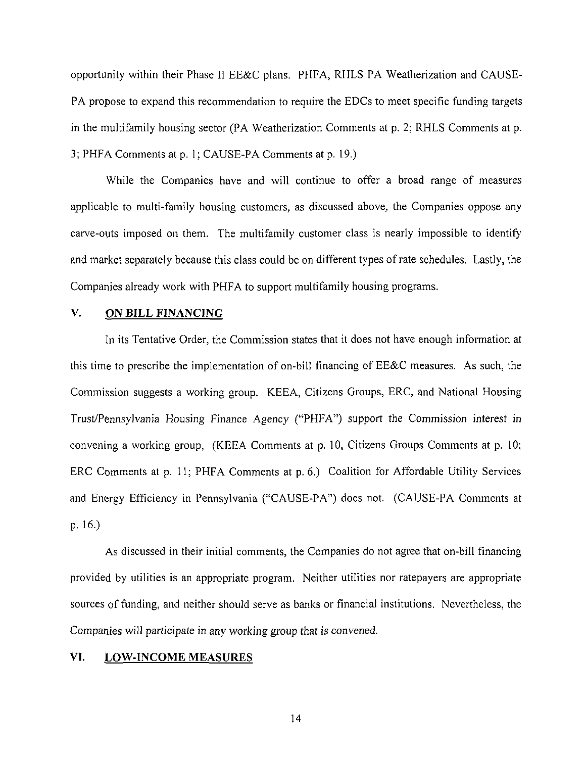opportunity within their Phase II EE&C plans. PHFA, RHLS PA Weatherization and CAUSE-PA propose to expand this recommendation to require the EDCs to meet specific funding targets in the multifamily housing sector (PA Weatherization Comments at p. 2; RHLS Comments at p. 3;PHFA Comments at p. 1; CAUSE-PA Comments at p. 19.)

While the Companies have and will continue to offer a broad range of measures applicable to multi-family housing customers, as discussed above, the Companies oppose any carve-outs imposed on them. The multifamily customer class is nearly impossible to identify and market separately because this class could be on different types of rate schedules. Lastly, the Companies already work with PHFA to support multifamily housing programs.

## **V. ON BILL FINANCING**

In its Tentative Order, the Commission states that it does not have enough information at this time to prescribe the implementation of on-bill financing of EE&C measures. As such, the Commission suggests a working group. KEEA, Citizens Groups, ERC, and National Housing Trust/Pennsylvania Housing Finance Agency ("PHFA") support the Commission interest in convening a working group, (KEEA Comments at p. 10, Citizens Groups Comments at p. 10; ERC Comments at p. 11; PHFA Comments at p. 6.) Coalition for Affordable Utility Services and Energy Efficiency in Pennsylvania ("CAUSE-PA") does not. (CAUSE-PA Comments at p. 16.)

As discussed in their initial comments, the Companies do not agree that on-bill financing provided by utilities is an appropriate program. Neither utilities nor ratepayers are appropriate sources of funding, and neither should serve as banks or financial institutions. Nevertheless, the Companies will participate in any working group that is convened.

## **VI. LOW-INCOME MEASURES**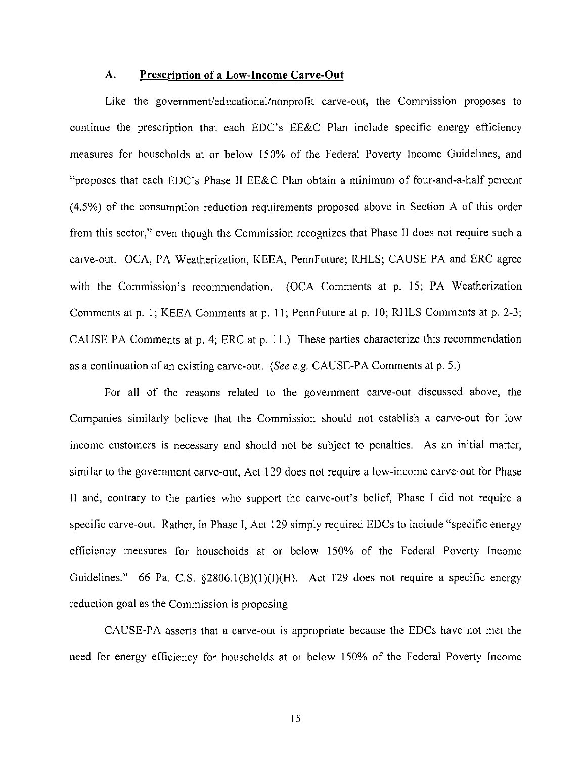#### **A. Prescription of a Low-Income Carve-Out**

Like the government/educational/nonprofit carve-out, the Commission proposes to continue the prescription that each EDC's EE&C Plan include specific energy efficiency measures for households at or below 150% of the Federal Poverty Income Guidelines, and "proposes that each EDC's Phase II EE&C Plan obtain a minimum of four-and-a-half percent (4.5%) of the consumption reduction requirements proposed above in Section A of this order from this sector," even though the Commission recognizes that Phase II does not require such a carve-out. OCA, PA Weatherization, KEEA, PennFuture; RHLS; CAUSE PA and ERC agree with the Commission's recommendation. (OCA Comments at p. 15; PA Weatherization Comments at p. 1; KEEA Comments at p. 11; PennFuture at p. 10; RHLS Comments at p. 2-3; CAUSE PA Comments at p. 4; ERC at p. 11.) These parties characterize this recommendation as a continuation of an existing carve-out. {See e.g. CAUSE-PA Comments at p. 5.)

For all of the reasons related to the government carve-out discussed above, the Companies similarly believe that the Commission should not establish a carve-out for low income customers is necessary and should not be subject to penalties. As an initial matter, similar to the government carve-out, Act 129 does not require a low-income carve-out for Phase II and, contrary to the parties who support the carve-out's belief, Phase I did not require a specific carve-out. Rather, in Phase I, Act 129 simply required EDCs to include "specific energy efficiency measures for households at or below 150% of the Federal Poverty Income Guidelines." 66 Pa. C.S. §2806.1(B)(1)(I)(H). Act 129 does not require a specific energy reduction goal as the Commission is proposing

CAUSE-PA asserts that a carve-out is appropriate because the EDCs have not met the need for energy efficiency for households at or below 150% of the Federal Poverty Income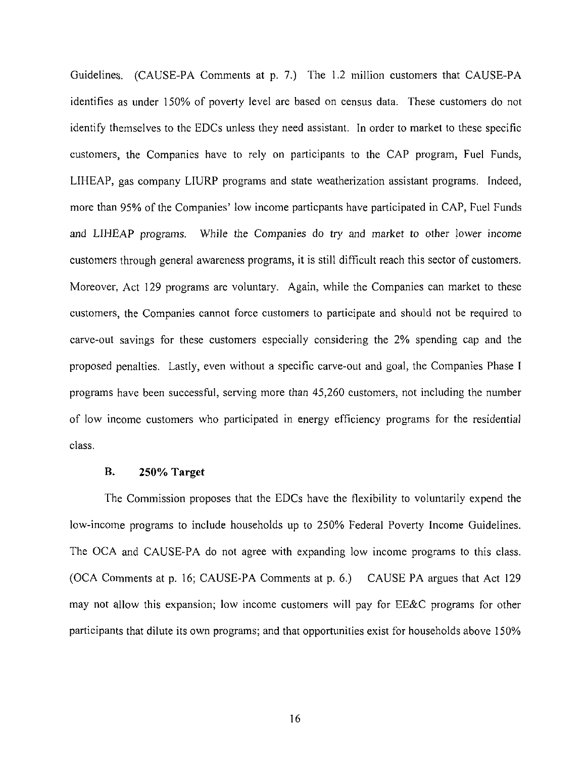Guidelines. (CAUSE-PA Comments at p. 7.) The 1.2 million customers that CAUSE-PA identifies as under 150% of poverty level are based on census data. These customers do not identify themselves to the EDCs unless they need assistant. In order to market to these specific customers, the Companies have to rely on participants to the CAP program, Fuel Funds, LIHEAP, gas company LIURP programs and state weatherization assistant programs. Indeed, more than 95% of the Companies' low income particpants have participated in CAP, Fuel Funds and LIHEAP programs. While the Companies do try and market to other lower income customers through general awareness programs, it is still difficult reach this sector of customers. Moreover, Act 129 programs are voluntary. Again, while the Companies can market to these customers, the Companies cannot force customers to participate and should not be required to carve-out savings for these customers especially considering the 2% spending cap and the proposed penalties. Lastly, even without a specific carve-out and goal, the Companies Phase I programs have been successful, serving more than 45,260 customers, not including the number of low income customers who participated in energy efficiency programs for the residential class.

## **B. 250% Target**

The Commission proposes that the EDCs have the flexibility to voluntarily expend the low-income programs to include households up to 250% Federal Poverty Income Guidelines. The OCA and CAUSE-PA do not agree with expanding low income programs to this class. (OCA Comments at p. 16; CAUSE-PA Comments at p. 6.) CAUSE PA argues that Act 129 may not allow this expansion; low income customers will pay for EE&C programs for other participants that dilute its own programs; and that opportunities exist for households above 150%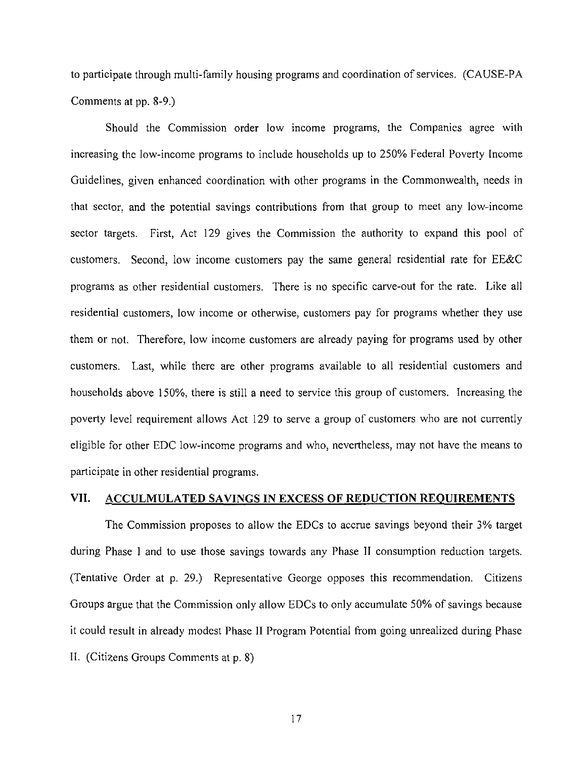to participate through multi-family housing programs and coordination of services. (CAUSE-PA Comments at pp. 8-9.)

Should the Commission order low income programs, the Companies agree with increasing the low-income programs to include households up to 250% Federal Poverty Income Guidelines, given enhanced coordination with other programs in the Commonwealth, needs in that sector, and the potential savings contributions from that group to meet any low-income sector targets. First, Act 129 gives the Commission the authority to expand this pool of customers. Second, low income customers pay the same general residential rate for EE&C programs as other residential customers. There is no specific carve-out for the rate. Like all residential customers, low income or otherwise, customers pay for programs whether they use them or not. Therefore, low income customers are already paying for programs used by other customers. Last, while there are other programs available to all residential customers and households above 150%, there is still a need to service this group of customers. Increasing the poverty level requirement allows Act 129 to serve a group of customers who are not currently eligible for other EDC low-income programs and who, nevertheless, may not have the means to participate in other residential programs.

#### **VII. ACCULMULATED SAVINGS IN EXCESS OF REDUCTION REQUIREMENTS**

The Commission proposes to allow the EDCs to accrue savings beyond their 3% target during Phase I and to use those savings towards any Phase II consumption reduction targets. (Tentative Order at p. 29.) Representative George opposes this recommendation. Citizens Groups argue that the Commission only allow EDCs to only accumulate 50% of savings because it could result in already modest Phase II Program Potential from going unrealized during Phase II. (Citizens Groups Comments at p. 8)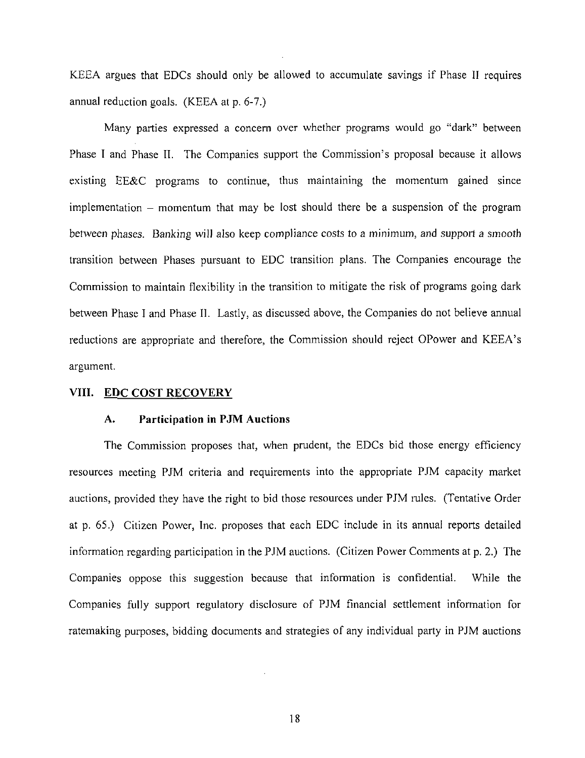KEEA argues that EDCs should only be allowed to accumulate savings if Phase II requires annual reduction goals. (KEEA at p. 6-7.)

Many parties expressed a concern over whether programs would go "dark" between Phase I and Phase II. The Companies support the Commission's proposal because it allows existing EE&C programs to continue, thus maintaining the momentum gained since implementation - momentum that may be lost should there be a suspension of the program between phases. Banking will also keep compliance costs to a minimum, and support a smooth transition between Phases pursuant to EDC transition plans. The Companies encourage the Commission to maintain flexibility in the transition to mitigate the risk of programs going dark between Phase I and Phase II. Lastly, as discussed above, the Companies do not believe annual reductions are appropriate and therefore, the Commission should reject OPower and KEEA's argument.

## **VIII. EDC COST RECOVERY**

#### **A. Participation in PJM Auctions**

The Commission proposes that, when prudent, the EDCs bid those energy efficiency resources meeting PJM criteria and requirements into the appropriate PJM capacity market auctions, provided they have the right to bid those resources under PJM rules. (Tentative Order at p. 65.) Citizen Power, Inc. proposes that each EDC include in its annual reports detailed information regarding participation in the PJM auctions. (Citizen Power Comments at p. 2.) The Companies oppose this suggestion because that information is confidential. While the Companies fully support regulatory disclosure of PJM financial settlement information for ratemaking purposes, bidding documents and strategies of any individual party in PJM auctions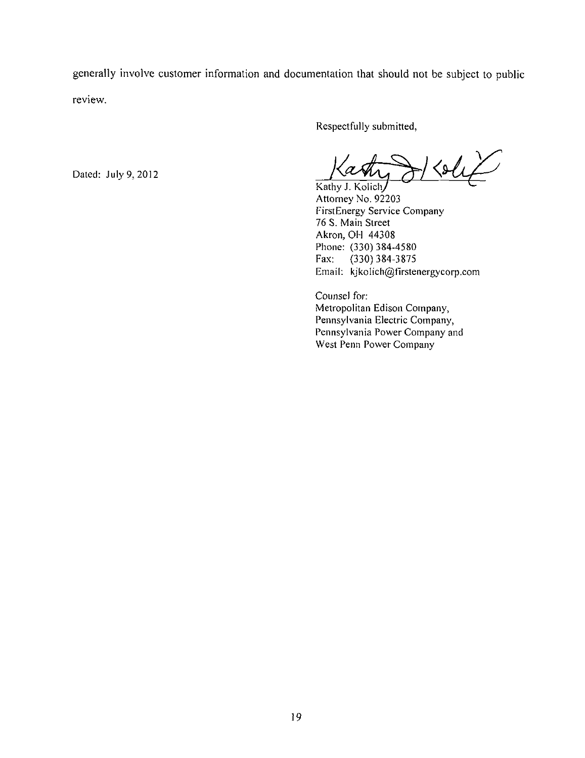generally involve customer information and documentation that should not be subject to public review.

Respectfully submitted,

 $\triangle\mu$ Kathy J. Kolich/

Attorney No. 92203 FirstEnergy Service Company 76 S. Main Street Akron, OH 44308 Phone: (330) 384-4580<br>Fax: (330) 384-3875 Fax: (330) 384-3875 Email: kjkoIich@firstenergycorp.com

Counsel for: Metropolitan Edison Company, Pennsylvania Electric Company, Pennsylvania Power Company and West Penn Power Company

Dated: July 9, 2012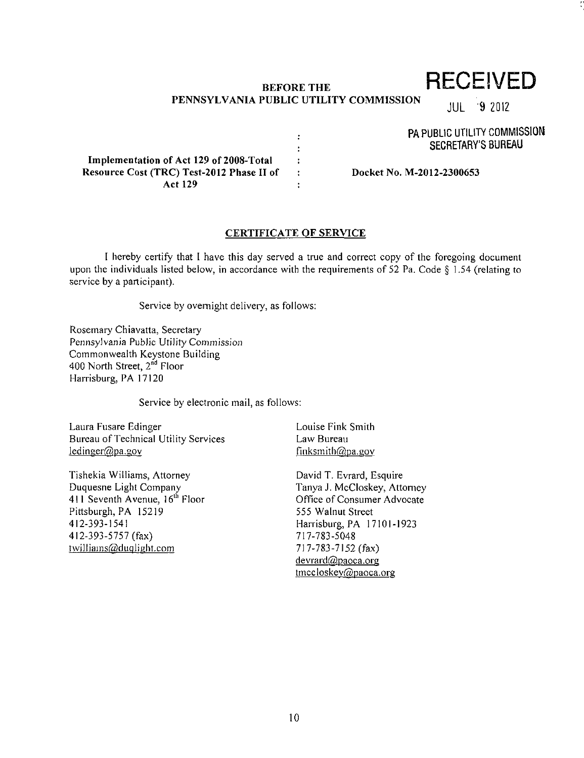# **BEFORE THE PENNSYLVANIA PUBLIC UTILITY COMMISSION**

 $\ddot{\cdot}$ ÷  $\ddot{\cdot}$  $\ddot{\phantom{a}}$  $\overline{\mathbf{r}}$  **RECEIVED** 

JUL 9 Z012

PA PUBLIC UTILITY COMMISSION SECRETARY'S BUREAU

**Implementation of Act 129 of 2008-Total Resource Cost (TRC) Test-2012 Phase II of Act 129** 

**Docket No. M-2012-2300653** 

#### **CERTIFICATE OF SERVICE**

I hereby certify that I have this day served a true and correct copy of the foregoing document upon the individuals listed below, in accordance with the requirements of 52 Pa. Code  $\S$  1.54 (relating to service by a participant).

Service by overnight delivery, as follows:

Rosemary Chiavatta, Secretary Pennsylvania Public Utility Commission Commonwealth Keystone Building 400 North Street, 2<sup>nd</sup> Floor Harrisburg, PA 17120

Service by electronic mail, as follows:

Laura Fusare Edinger Bureau of Technical Utility Services  $ledinger@pa.gov$ 

Tishekia Williams, Attorney Duquesne Light Company 411 Seventh Avenue, 16<sup>th</sup> Floor Pittsburgh, PA 15219 412-393-1541 412-393-5757 (fax) twilliams@duqlight.com

Louise Fink Smith Law Bureau finksmith@pa.gov

David T. Evrard, Esquire Tanya J. McCloskey, Attorney Office of Consumer Advocate 555 Walnut Street Harrisburg, PA 17101-1923 717-783-5048 717-783-7152 (fax) devrard@paoca.org tmccloskey@paoca.org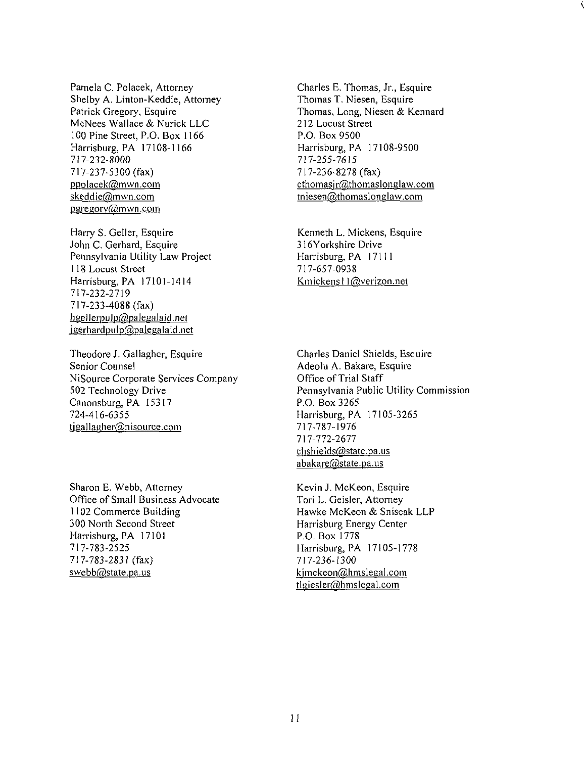Pamela C. Polacek, Attorney Shelby A. Linton-Keddie, Attorney Patrick Gregory, Esquire McNees Wallace & Nurick LLC 100 Pine Street, P.O. Box 1166 Harrisburg, PA 17108-1166 717-232-8000 717-237-5300 (fax) ppolacek@mwn.com skęddie@mwn.com pgregory@mwn.com

Harry S. Geller, Esquire John C. Gerhard, Esquire Pennsylvania Utility Law Project 118 Locust Street Harrisburg, PA 17101-1414 717-232-2719 717-233-4088 (fax) hgellerpulp@palegalaid.net igerhardpulp@palegalaid.net

Theodore J. Gallagher, Esquire Senior Counsel NiSource Corporate Services Company 502 Technology Drive Canonsburg, PA 15317 724-416-6355 tigallagher@nisource.com

Sharon E. Webb, Attorney Office of Small Business Advocate 1102 Commerce Building 300 North Second Street Harrisburg, PA 17101 717-783-2525 717-783-2831 (fax) swebb@state.pa.us

Charles E. Thomas, Jr., Esquire Thomas T. Niesen, Esquire Thomas, Long, Niesen & Kennard 212 Locust Street P.O. Box 9500 Harrisburg, PA 17108-9500 717-255-7615 717-236-8278 (fax)  $ethomasir@thomaslonglaw.com$ tniesen@thomaslonglaw.com

Kenneth L. Mickens, Esquire 316Yorkshire Drive Harrisburg, PA 17111 717-657-0938 Kmickensl l@verizon.net

Charles Daniel Shields, Esquire Adeolu A. Bakare, Esquire Office of Trial Staff Pennsylvania Public Utility Commission P.O. Box 3265 Harrisburg, PA 17105-3265 717-787-1976 717-772-2677 chshields@state.pa.us abakare@state.pa.us

Kevin J. McKeon, Esquire Tori L. Geisler, Attorney Hawke McKeon & Sniscak LLP Harrisburg Energy Center P.O. Box 1778 Harrisburg, PA 17105-1778 717-236-1300 kjmckeon@hmslegal.com tlgiesler@hmslegal.com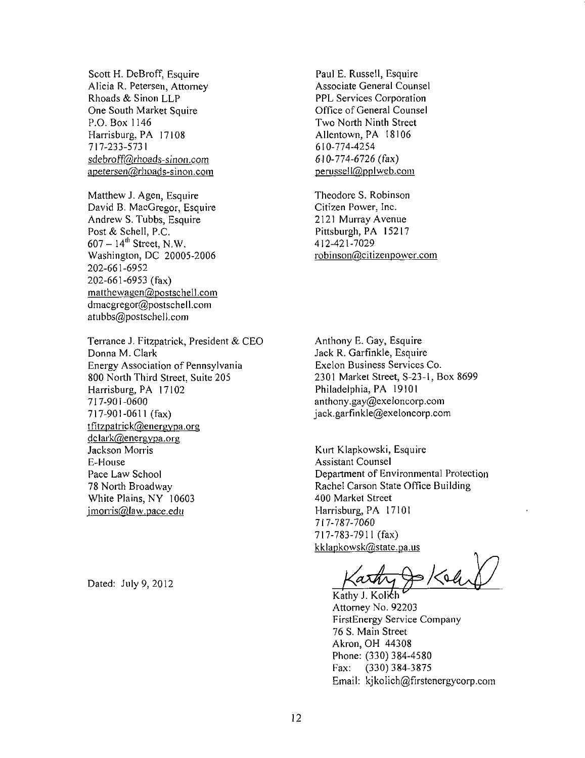Scott H. DeBroff, Esquire Alicia R. Petersen, Attorney Rhoads & Sinon LLP One South Market Squire P.O. Box 1146 Harrisburg, PA 17108 717-233-5731 sdebroff@rhoads-sinon.com apetersen@rhoads-sinon.com

Matthew J. Agen, Esquire David B. MacGregor, Esquire Andrew S. Tubbs, Esquire Post & Schell, P.C.  $607 - 14$ <sup>th</sup> Street, N.W. Washington, DC 20005-2006 202-661-6952 202-661-6953 (fax) matthewagen@postschell.com dmacgregor@postschell.com atubbs@postschell.com

Terrance J. Fitzpatrick, President & CEO Donna M. Clark Energy Association of Pennsylvania 800 North Third Street, Suite 205 Harrisburg, PA 17102 717-901-0600 717-901-0611 (fax) tfitzpatrick@energvpa.org  $dclark@energypa.org$ Jackson Morris E-House Pace Law School 78 North Broadway White Plains, NY 10603 imorris@law.pace.edti

Dated: July 9, 2012

Paul E. Russell, Esquire Associate General Counsel PPL Services Corporation Office of General Counsel Two North Ninth Street Allentown, PA 18106 610-774-4254 610-774-6726 (fax) perusseil@pplweb.com

Theodore S. Robinson Citizen Power, Inc. 2121 Murray Avenue Pittsburgh, PA 15217 412-421-7029 robinson@citizenpower.com

Anthony E. Gay, Esquire Jack R. Garfinkle, Esquire Exelon Business Services Co. 2301 Market Street, S-23-i, Box 8699 Philadelphia, PA 19101 anthony.gay@exeloncorp.com jack.garfinkle@exeloncorp.com

Kurt Klapkowski, Esquire Assistant Counsel Department of Environmental Protection Rachel Carson State Office Building 400 Market Street Harrisburg, PA 17101 717-787-7060 717-783-7911 (fax) kklapkowsk@state.pa.us

 $\bigoplus \{ 64$ 

Kathy J. Kolich Attorney No. 92203 FirstEnergy Service Company 76 S. Main Street Akron, OH 44308 Phone: (330) 384-4580<br>Fax: (330) 384-3875 (330) 384-3875 Email: kjkolich@firstenergycorp.com